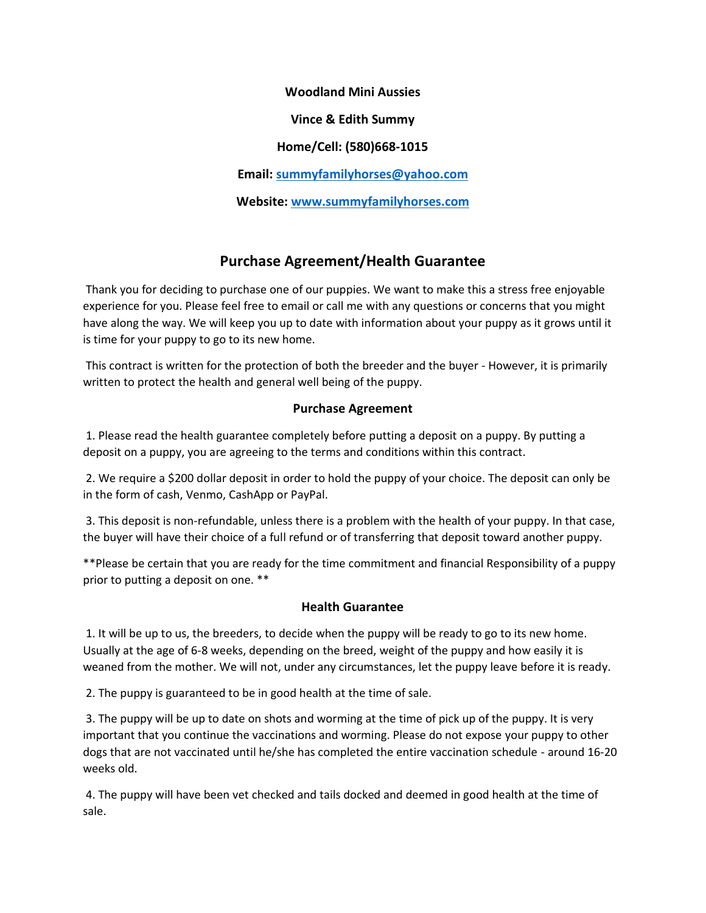**Woodland Mini Aussies Vince & Edith Summy Home/Cell: (580)668-1015 Email: [summyfamilyhorses@yahoo.com](mailto:summyfamilyhorses@yahoo.com) Website: [www.summyfamilyhorses.com](http://www.summyfamilyhorses.com/)**

## **Purchase Agreement/Health Guarantee**

Thank you for deciding to purchase one of our puppies. We want to make this a stress free enjoyable experience for you. Please feel free to email or call me with any questions or concerns that you might have along the way. We will keep you up to date with information about your puppy as it grows until it is time for your puppy to go to its new home.

This contract is written for the protection of both the breeder and the buyer - However, it is primarily written to protect the health and general well being of the puppy.

## **Purchase Agreement**

1. Please read the health guarantee completely before putting a deposit on a puppy. By putting a deposit on a puppy, you are agreeing to the terms and conditions within this contract.

2. We require a \$200 dollar deposit in order to hold the puppy of your choice. The deposit can only be in the form of cash, Venmo, CashApp or PayPal.

3. This deposit is non-refundable, unless there is a problem with the health of your puppy. In that case, the buyer will have their choice of a full refund or of transferring that deposit toward another puppy.

\*\*Please be certain that you are ready for the time commitment and financial Responsibility of a puppy prior to putting a deposit on one. \*\*

## **Health Guarantee**

1. It will be up to us, the breeders, to decide when the puppy will be ready to go to its new home. Usually at the age of 6-8 weeks, depending on the breed, weight of the puppy and how easily it is weaned from the mother. We will not, under any circumstances, let the puppy leave before it is ready.

2. The puppy is guaranteed to be in good health at the time of sale.

3. The puppy will be up to date on shots and worming at the time of pick up of the puppy. It is very important that you continue the vaccinations and worming. Please do not expose your puppy to other dogs that are not vaccinated until he/she has completed the entire vaccination schedule - around 16-20 weeks old.

4. The puppy will have been vet checked and tails docked and deemed in good health at the time of sale.